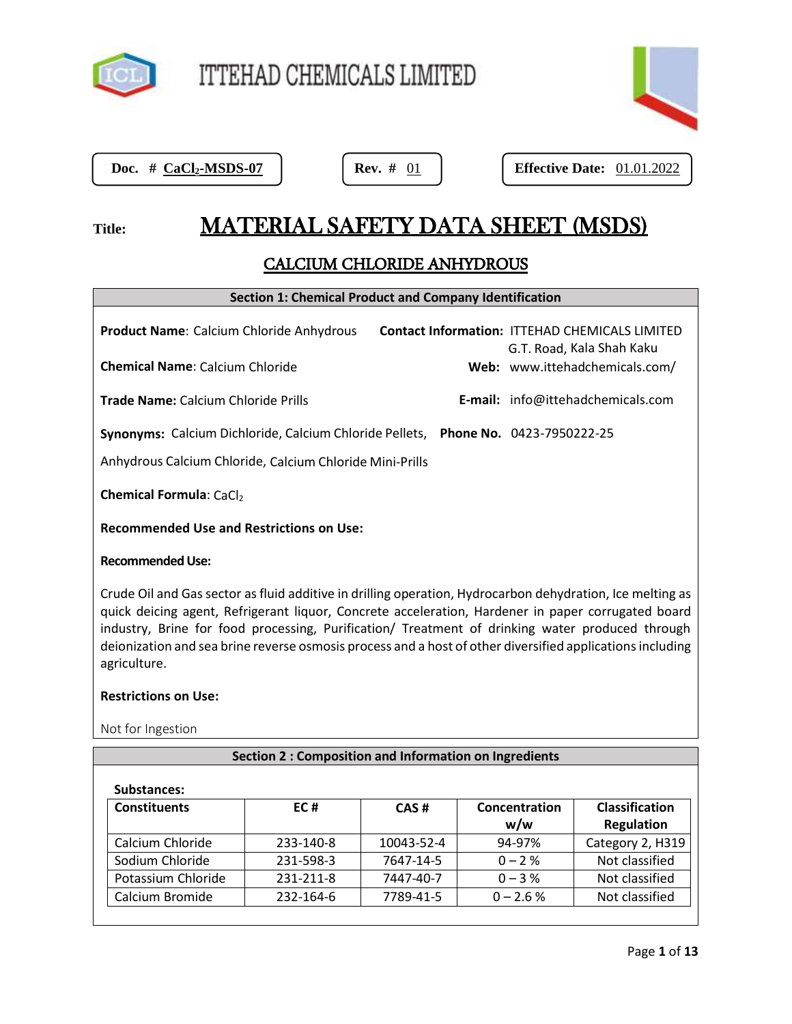

| ÷ |
|---|

Doc.  $# \text{ CaCl}_2\text{-MSDS-07}$ 

**Doc. # CaCl2-MSDS-07 Rev. #** 01 **Effective Date:** 01.01.2022

# Title: **MATERIAL SAFETY DATA SHEET (MSDS)**

# CALCIUM CHLORIDE ANHYDROUS

# **Section 1: Chemical Product and Company Identification**

| <b>Product Name:</b> Calcium Chloride Anhydrous                                   |  | <b>Contact Information: ITTEHAD CHEMICALS LIMITED</b><br>G.T. Road, Kala Shah Kaku |
|-----------------------------------------------------------------------------------|--|------------------------------------------------------------------------------------|
| <b>Chemical Name:</b> Calcium Chloride                                            |  | Web: www.ittehadchemicals.com/                                                     |
| <b>Trade Name: Calcium Chloride Prills</b>                                        |  | E-mail: info@ittehadchemicals.com                                                  |
| Synonyms: Calcium Dichloride, Calcium Chloride Pellets, Phone No. 0423-7950222-25 |  |                                                                                    |
| Anhydrous Calcium Chloride, Calcium Chloride Mini-Prills                          |  |                                                                                    |
| <b>Chemical Formula: CaCl2</b>                                                    |  |                                                                                    |
| <b>Recommended Use and Restrictions on Use:</b>                                   |  |                                                                                    |
|                                                                                   |  |                                                                                    |

# **Recommended Use:**

1. Crude Oil and Gas sector as fluid additive in drilling operation, Hydrocarbon dehydration, Ice melting as quick deicing agent, Refrigerant liquor, Concrete acceleration, Hardener in paper corrugated board industry, Brine for food processing, Purification/ Treatment of drinking water produced through deionization and sea brine reverse osmosis process and a host of other diversified applications including agriculture.

# **Restrictions on Use:**

Not for Ingestion

# **Section 2 : Composition and Information on Ingredients**

| <b>Constituents</b> | EC#       | CAS#       | Concentration | <b>Classification</b> |
|---------------------|-----------|------------|---------------|-----------------------|
|                     |           |            | w/w           | <b>Regulation</b>     |
| Calcium Chloride    | 233-140-8 | 10043-52-4 | 94-97%        | Category 2, H319      |
| Sodium Chloride     | 231-598-3 | 7647-14-5  | $0 - 2$ %     | Not classified        |
| Potassium Chloride  | 231-211-8 | 7447-40-7  | $0 - 3\%$     | Not classified        |
| Calcium Bromide     | 232-164-6 | 7789-41-5  | $0 - 2.6 %$   | Not classified        |

# **Substances:**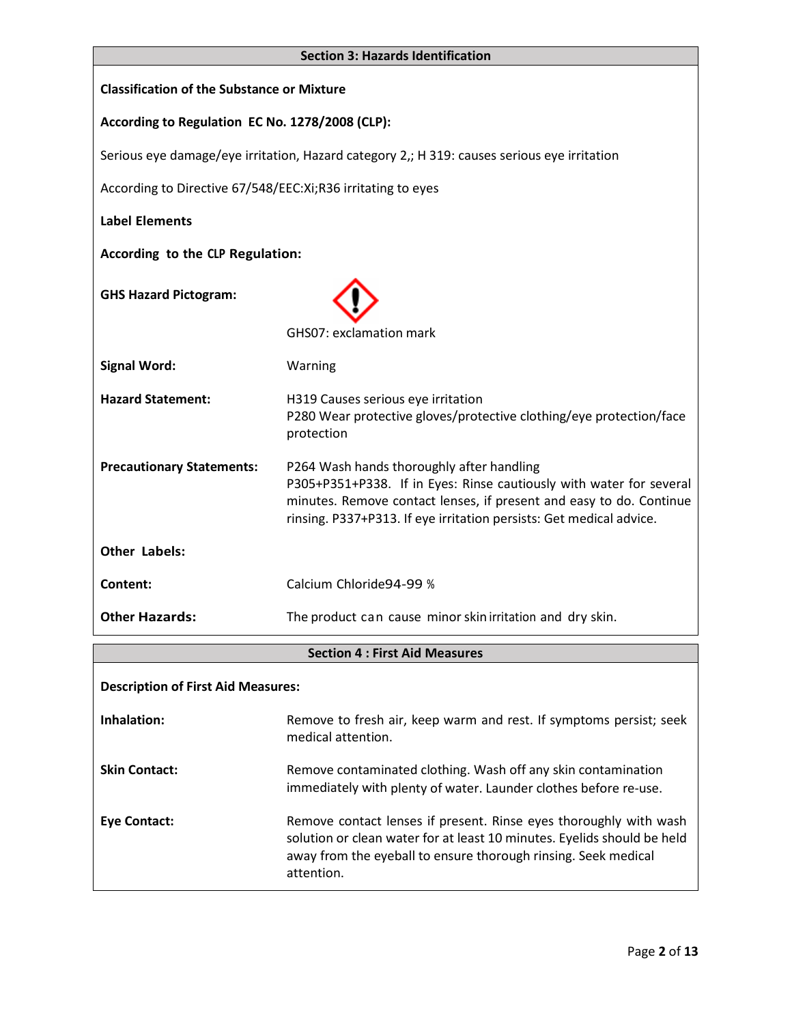| <b>Section 3: Hazards Identification</b>                                                    |                                                                                                                                                                                                                                                                |  |
|---------------------------------------------------------------------------------------------|----------------------------------------------------------------------------------------------------------------------------------------------------------------------------------------------------------------------------------------------------------------|--|
| <b>Classification of the Substance or Mixture</b>                                           |                                                                                                                                                                                                                                                                |  |
| According to Regulation EC No. 1278/2008 (CLP):                                             |                                                                                                                                                                                                                                                                |  |
| Serious eye damage/eye irritation, Hazard category 2,; H 319: causes serious eye irritation |                                                                                                                                                                                                                                                                |  |
| According to Directive 67/548/EEC: Xi; R36 irritating to eyes                               |                                                                                                                                                                                                                                                                |  |
| <b>Label Elements</b>                                                                       |                                                                                                                                                                                                                                                                |  |
| According to the CLP Regulation:                                                            |                                                                                                                                                                                                                                                                |  |
| <b>GHS Hazard Pictogram:</b>                                                                |                                                                                                                                                                                                                                                                |  |
|                                                                                             | GHS07: exclamation mark                                                                                                                                                                                                                                        |  |
| <b>Signal Word:</b>                                                                         | Warning                                                                                                                                                                                                                                                        |  |
| <b>Hazard Statement:</b>                                                                    | H319 Causes serious eye irritation<br>P280 Wear protective gloves/protective clothing/eye protection/face<br>protection                                                                                                                                        |  |
| <b>Precautionary Statements:</b>                                                            | P264 Wash hands thoroughly after handling<br>P305+P351+P338. If in Eyes: Rinse cautiously with water for several<br>minutes. Remove contact lenses, if present and easy to do. Continue<br>rinsing. P337+P313. If eye irritation persists: Get medical advice. |  |
| <b>Other Labels:</b>                                                                        |                                                                                                                                                                                                                                                                |  |
| Content:                                                                                    | Calcium Chloride94-99 %                                                                                                                                                                                                                                        |  |
| <b>Other Hazards:</b>                                                                       | The product can cause minor skin irritation and dry skin.                                                                                                                                                                                                      |  |
| <b>Section 4: First Aid Measures</b>                                                        |                                                                                                                                                                                                                                                                |  |
| <b>Description of First Aid Measures:</b>                                                   |                                                                                                                                                                                                                                                                |  |
| Inhalation:                                                                                 | Remove to fresh air, keep warm and rest. If symptoms persist; seek<br>medical attention.                                                                                                                                                                       |  |
| <b>Skin Contact:</b>                                                                        | Remove contaminated clothing. Wash off any skin contamination<br>immediately with plenty of water. Launder clothes before re-use.                                                                                                                              |  |
| <b>Eye Contact:</b>                                                                         | Remove contact lenses if present. Rinse eyes thoroughly with wash<br>solution or clean water for at least 10 minutes. Eyelids should be held<br>away from the eyeball to ensure thorough rinsing. Seek medical                                                 |  |

attention.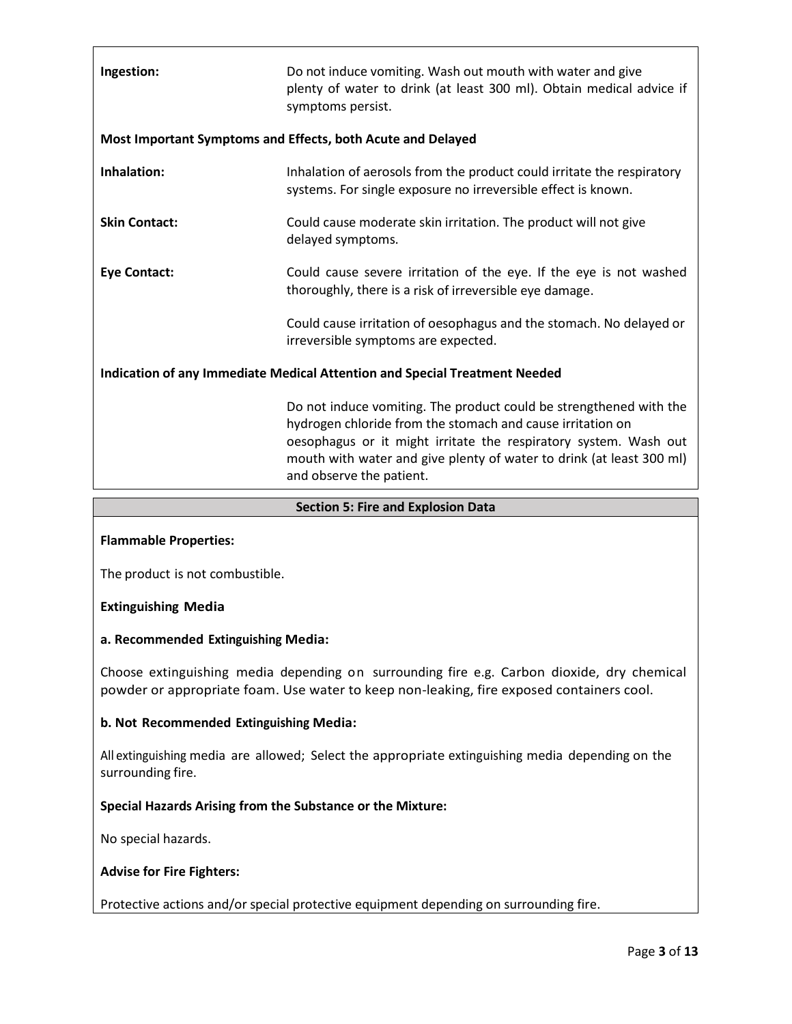| Ingestion:           | Do not induce vomiting. Wash out mouth with water and give<br>plenty of water to drink (at least 300 ml). Obtain medical advice if<br>symptoms persist.                                                                                                                                                  |
|----------------------|----------------------------------------------------------------------------------------------------------------------------------------------------------------------------------------------------------------------------------------------------------------------------------------------------------|
|                      | Most Important Symptoms and Effects, both Acute and Delayed                                                                                                                                                                                                                                              |
| Inhalation:          | Inhalation of aerosols from the product could irritate the respiratory<br>systems. For single exposure no irreversible effect is known.                                                                                                                                                                  |
| <b>Skin Contact:</b> | Could cause moderate skin irritation. The product will not give<br>delayed symptoms.                                                                                                                                                                                                                     |
| <b>Eye Contact:</b>  | Could cause severe irritation of the eye. If the eye is not washed<br>thoroughly, there is a risk of irreversible eye damage.                                                                                                                                                                            |
|                      | Could cause irritation of oesophagus and the stomach. No delayed or<br>irreversible symptoms are expected.                                                                                                                                                                                               |
|                      | Indication of any Immediate Medical Attention and Special Treatment Needed                                                                                                                                                                                                                               |
|                      | Do not induce vomiting. The product could be strengthened with the<br>hydrogen chloride from the stomach and cause irritation on<br>oesophagus or it might irritate the respiratory system. Wash out<br>mouth with water and give plenty of water to drink (at least 300 ml)<br>and observe the patient. |

# **Section 5: Fire and Explosion Data**

# **Flammable Properties:**

The product is not combustible.

#### **Extinguishing Media**

## **a. Recommended Extinguishing Media:**

Choose extinguishing media depending on surrounding fire e.g. Carbon dioxide, dry chemical powder or appropriate foam. Use water to keep non-leaking, fire exposed containers cool.

#### **b. Not Recommended Extinguishing Media:**

All extinguishing media are allowed; Select the appropriate extinguishing media depending on the surrounding fire.

# **Special Hazards Arising from the Substance or the Mixture:**

No special hazards.

#### **Advise for Fire Fighters:**

Protective actions and/or special protective equipment depending on surrounding fire.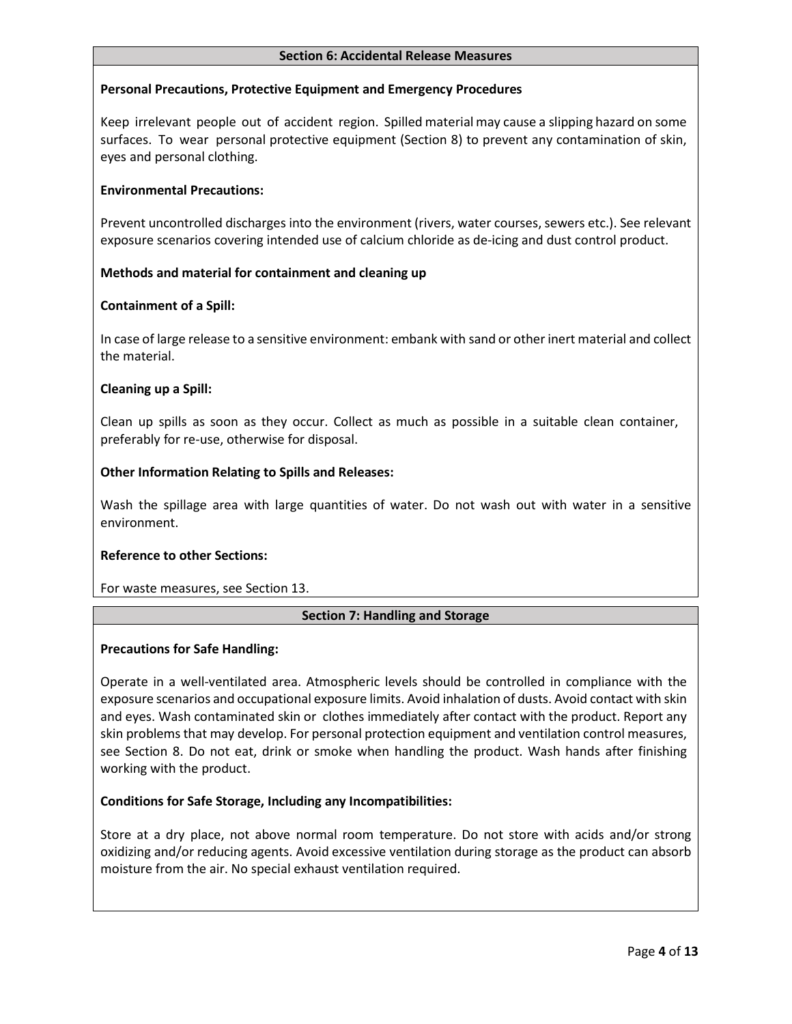#### **Section 6: Accidental Release Measures**

# **Personal Precautions, Protective Equipment and Emergency Procedures**

Keep irrelevant people out of accident region. Spilled material may cause a slipping hazard on some surfaces. To wear personal protective equipment (Section 8) to prevent any contamination of skin, eyes and personal clothing.

## **Environmental Precautions:**

Prevent uncontrolled discharges into the environment (rivers, water courses, sewers etc.). See relevant exposure scenarios covering intended use of calcium chloride as de-icing and dust control product.

#### **Methods and material for containment and cleaning up**

#### **Containment of a Spill:**

In case of large release to a sensitive environment: embank with sand or other inert material and collect the material.

#### **Cleaning up a Spill:**

Clean up spills as soon as they occur. Collect as much as possible in a suitable clean container, preferably for re-use, otherwise for disposal.

#### **Other Information Relating to Spills and Releases:**

Wash the spillage area with large quantities of water. Do not wash out with water in a sensitive environment.

# **Reference to other Sections:**

For waste measures, see Section 13.

# **Section 7: Handling and Storage**

#### **Precautions for Safe Handling:**

Operate in a well-ventilated area. Atmospheric levels should be controlled in compliance with the exposure scenarios and occupational exposure limits. Avoid inhalation of dusts. Avoid contact with skin and eyes. Wash contaminated skin or clothes immediately after contact with the product. Report any skin problems that may develop. For personal protection equipment and ventilation control measures, see Section 8. Do not eat, drink or smoke when handling the product. Wash hands after finishing working with the product.

# **Conditions for Safe Storage, Including any Incompatibilities:**

Store at a dry place, not above normal room temperature. Do not store with acids and/or strong oxidizing and/or reducing agents. Avoid excessive ventilation during storage as the product can absorb moisture from the air. No special exhaust ventilation required.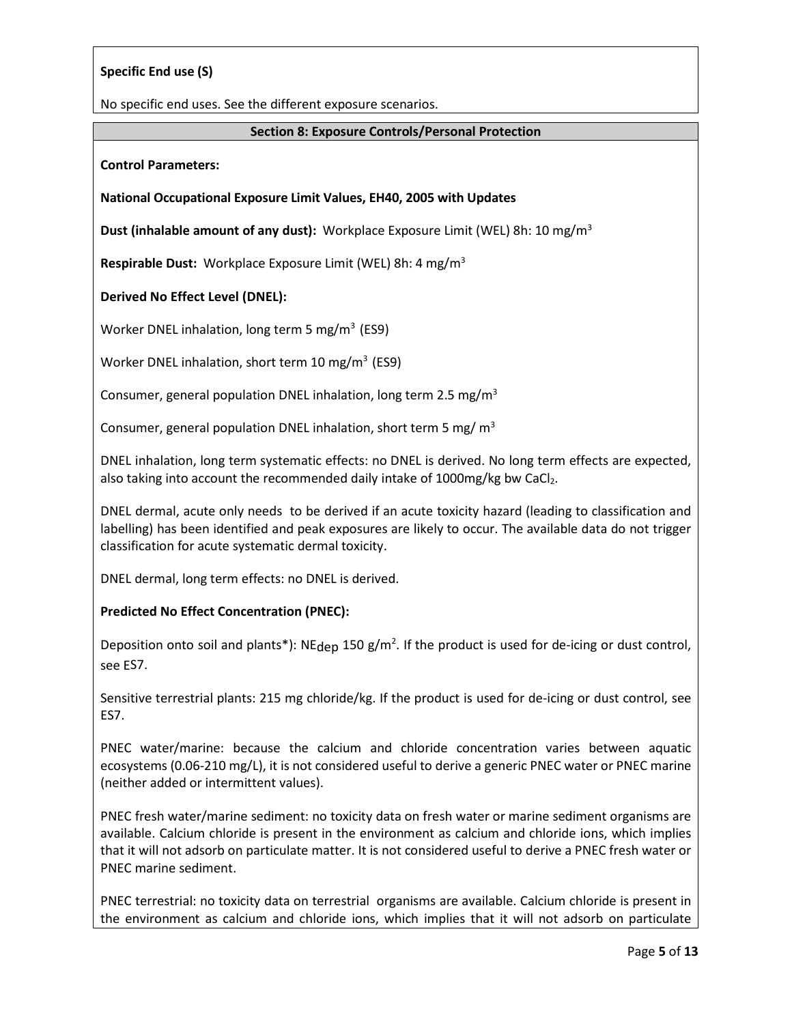# **Specific End use (S)**

No specific end uses. See the different exposure scenarios.

#### **Section 8: Exposure Controls/Personal Protection**

**Control Parameters:**

#### **National Occupational Exposure Limit Values, EH40, 2005 with Updates**

**Dust (inhalable amount of any dust):** Workplace Exposure Limit (WEL) 8h: 10 mg/m<sup>3</sup>

**Respirable Dust:** Workplace Exposure Limit (WEL) 8h: 4 mg/m<sup>3</sup>

#### **Derived No Effect Level (DNEL):**

Worker DNEL inhalation, long term 5 mg/m<sup>3</sup> (ES9)

Worker DNEL inhalation, short term 10 mg/m<sup>3</sup> (ES9)

Consumer, general population DNEL inhalation, long term 2.5 mg/m<sup>3</sup>

Consumer, general population DNEL inhalation, short term 5 mg/ $m<sup>3</sup>$ 

DNEL inhalation, long term systematic effects: no DNEL is derived. No long term effects are expected, also taking into account the recommended daily intake of 1000mg/kg bw CaCl<sub>2</sub>.

DNEL dermal, acute only needs to be derived if an acute toxicity hazard (leading to classification and labelling) has been identified and peak exposures are likely to occur. The available data do not trigger classification for acute systematic dermal toxicity.

DNEL dermal, long term effects: no DNEL is derived.

# **Predicted No Effect Concentration (PNEC):**

Deposition onto soil and plants\*): NE<sub>dep</sub> 150 g/m<sup>2</sup>. If the product is used for de-icing or dust control, see ES7.

Sensitive terrestrial plants: 215 mg chloride/kg. If the product is used for de-icing or dust control, see ES7.

PNEC water/marine: because the calcium and chloride concentration varies between aquatic ecosystems (0.06-210 mg/L), it is not considered useful to derive a generic PNEC water or PNEC marine (neither added or intermittent values).

PNEC fresh water/marine sediment: no toxicity data on fresh water or marine sediment organisms are available. Calcium chloride is present in the environment as calcium and chloride ions, which implies that it will not adsorb on particulate matter. It is not considered useful to derive a PNEC fresh water or PNEC marine sediment.

PNEC terrestrial: no toxicity data on terrestrial organisms are available. Calcium chloride is present in the environment as calcium and chloride ions, which implies that it will not adsorb on particulate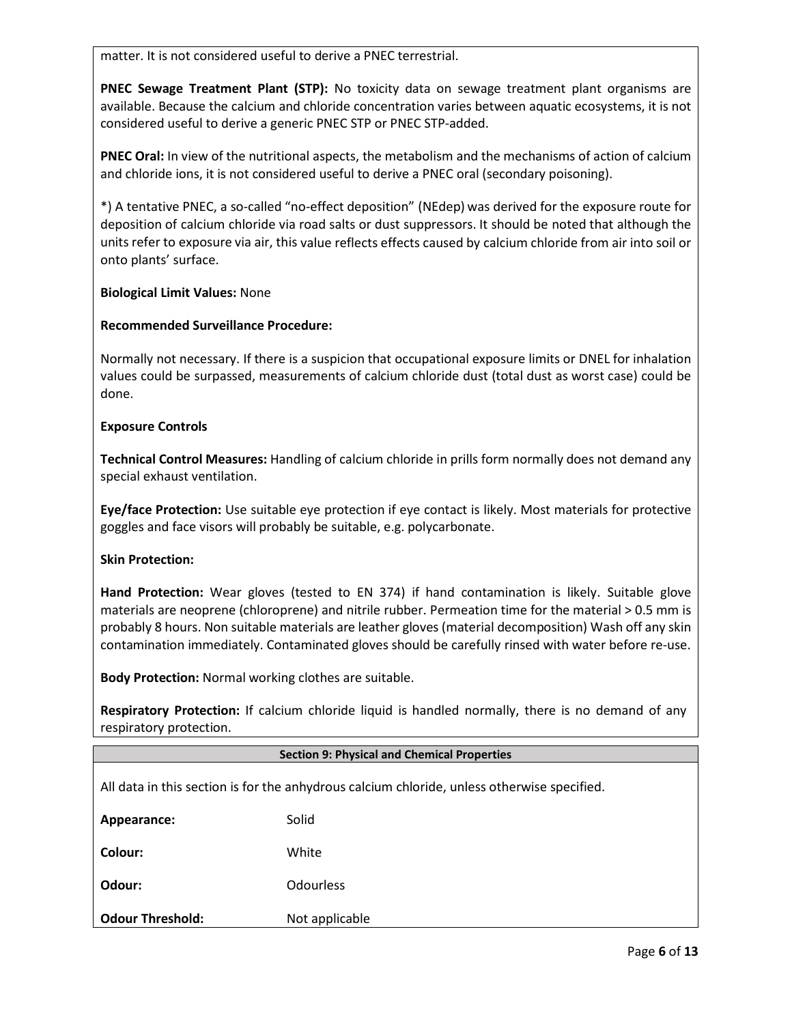matter. It is not considered useful to derive a PNEC terrestrial.

**PNEC Sewage Treatment Plant (STP):** No toxicity data on sewage treatment plant organisms are available. Because the calcium and chloride concentration varies between aquatic ecosystems, it is not considered useful to derive a generic PNEC STP or PNEC STP-added.

**PNEC Oral:** In view of the nutritional aspects, the metabolism and the mechanisms of action of calcium and chloride ions, it is not considered useful to derive a PNEC oral (secondary poisoning).

\*) A tentative PNEC, a so-called "no-effect deposition" (NEdep) was derived for the exposure route for deposition of calcium chloride via road salts or dust suppressors. It should be noted that although the units refer to exposure via air, this value reflects effects caused by calcium chloride from air into soil or onto plants' surface.

#### **Biological Limit Values:** None

#### **Recommended Surveillance Procedure:**

Normally not necessary. If there is a suspicion that occupational exposure limits or DNEL for inhalation values could be surpassed, measurements of calcium chloride dust (total dust as worst case) could be done.

#### **Exposure Controls**

**Technical Control Measures:** Handling of calcium chloride in prills form normally does not demand any special exhaust ventilation.

**Eye/face Protection:** Use suitable eye protection if eye contact is likely. Most materials for protective goggles and face visors will probably be suitable, e.g. polycarbonate.

#### **Skin Protection:**

**Hand Protection:** Wear gloves (tested to EN 374) if hand contamination is likely. Suitable glove materials are neoprene (chloroprene) and nitrile rubber. Permeation time for the material > 0.5 mm is probably 8 hours. Non suitable materials are leather gloves (material decomposition) Wash off any skin contamination immediately. Contaminated gloves should be carefully rinsed with water before re-use.

**Body Protection:** Normal working clothes are suitable.

**Respiratory Protection:** If calcium chloride liquid is handled normally, there is no demand of any respiratory protection.

| <b>Section 9: Physical and Chemical Properties</b>                                          |                  |  |
|---------------------------------------------------------------------------------------------|------------------|--|
| All data in this section is for the anhydrous calcium chloride, unless otherwise specified. |                  |  |
| Appearance:                                                                                 | Solid            |  |
| Colour:                                                                                     | White            |  |
| Odour:                                                                                      | <b>Odourless</b> |  |
| <b>Odour Threshold:</b>                                                                     | Not applicable   |  |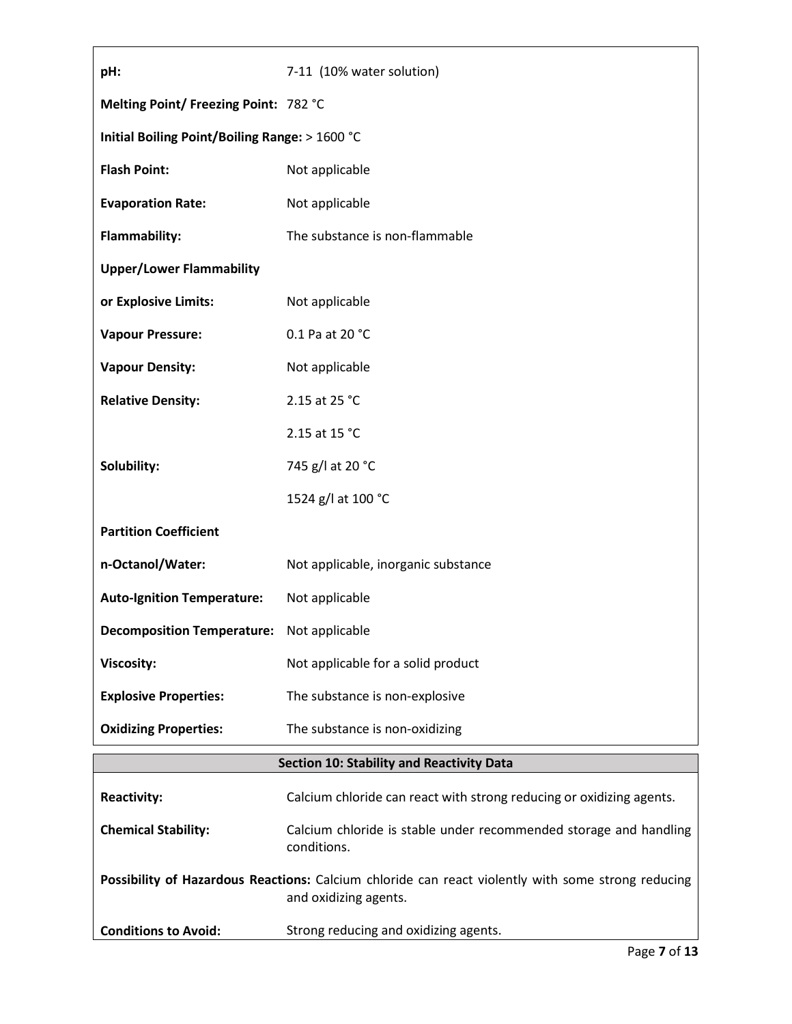| pH:                                              | 7-11 (10% water solution)                                                                                                   |  |
|--------------------------------------------------|-----------------------------------------------------------------------------------------------------------------------------|--|
| Melting Point/ Freezing Point: 782 °C            |                                                                                                                             |  |
| Initial Boiling Point/Boiling Range: > 1600 °C   |                                                                                                                             |  |
| <b>Flash Point:</b>                              | Not applicable                                                                                                              |  |
| <b>Evaporation Rate:</b>                         | Not applicable                                                                                                              |  |
| Flammability:                                    | The substance is non-flammable                                                                                              |  |
| <b>Upper/Lower Flammability</b>                  |                                                                                                                             |  |
| or Explosive Limits:                             | Not applicable                                                                                                              |  |
| <b>Vapour Pressure:</b>                          | 0.1 Pa at 20 °C                                                                                                             |  |
| <b>Vapour Density:</b>                           | Not applicable                                                                                                              |  |
| <b>Relative Density:</b>                         | 2.15 at 25 °C                                                                                                               |  |
|                                                  | 2.15 at 15 °C                                                                                                               |  |
| Solubility:                                      | 745 g/l at 20 °C                                                                                                            |  |
|                                                  | 1524 g/l at 100 °C                                                                                                          |  |
| <b>Partition Coefficient</b>                     |                                                                                                                             |  |
| n-Octanol/Water:                                 | Not applicable, inorganic substance                                                                                         |  |
| <b>Auto-Ignition Temperature:</b>                | Not applicable                                                                                                              |  |
| <b>Decomposition Temperature:</b> Not applicable |                                                                                                                             |  |
| <b>Viscosity:</b>                                | Not applicable for a solid product                                                                                          |  |
| <b>Explosive Properties:</b>                     | The substance is non-explosive                                                                                              |  |
| <b>Oxidizing Properties:</b>                     | The substance is non-oxidizing                                                                                              |  |
| <b>Section 10: Stability and Reactivity Data</b> |                                                                                                                             |  |
| <b>Reactivity:</b>                               | Calcium chloride can react with strong reducing or oxidizing agents.                                                        |  |
| <b>Chemical Stability:</b>                       | Calcium chloride is stable under recommended storage and handling<br>conditions.                                            |  |
|                                                  | Possibility of Hazardous Reactions: Calcium chloride can react violently with some strong reducing<br>and oxidizing agents. |  |
| <b>Conditions to Avoid:</b>                      | Strong reducing and oxidizing agents.                                                                                       |  |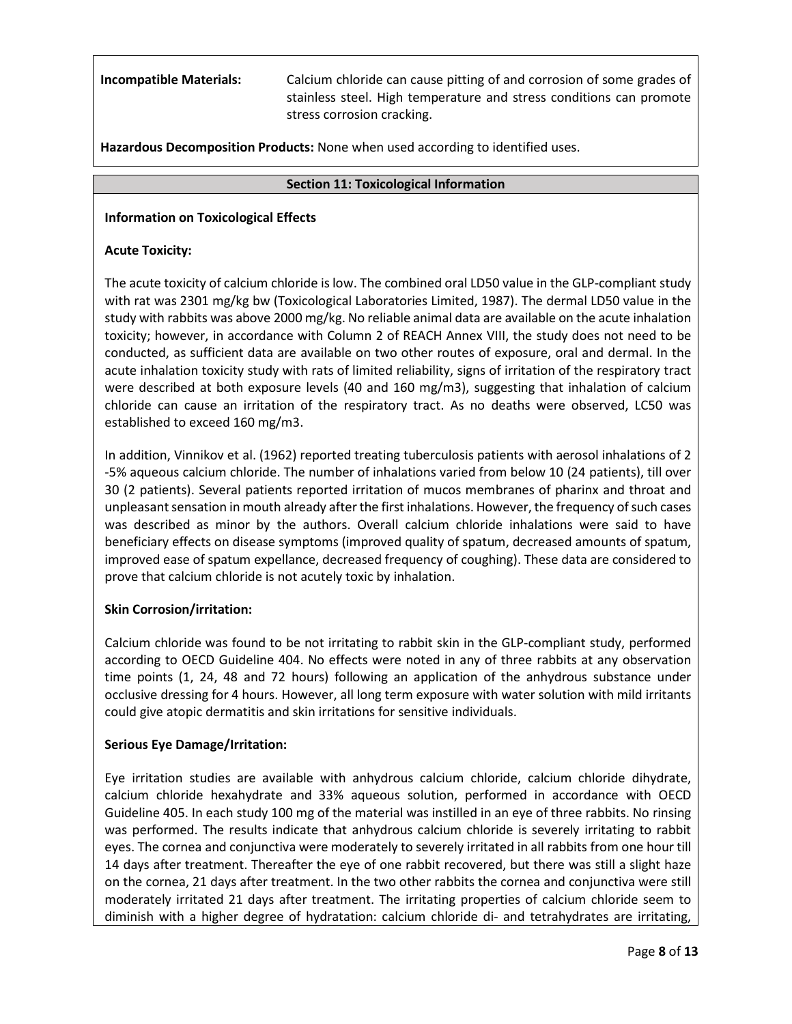**Incompatible Materials:** Calcium chloride can cause pitting of and corrosion of some grades of stainless steel. High temperature and stress conditions can promote stress corrosion cracking.

**Hazardous Decomposition Products:** None when used according to identified uses.

#### **Section 11: Toxicological Information**

# **Information on Toxicological Effects**

#### **Acute Toxicity:**

The acute toxicity of calcium chloride is low. The combined oral LD50 value in the GLP-compliant study with rat was 2301 mg/kg bw (Toxicological Laboratories Limited, 1987). The dermal LD50 value in the study with rabbits was above 2000 mg/kg. No reliable animal data are available on the acute inhalation toxicity; however, in accordance with Column 2 of REACH Annex VIII, the study does not need to be conducted, as sufficient data are available on two other routes of exposure, oral and dermal. In the acute inhalation toxicity study with rats of limited reliability, signs of irritation of the respiratory tract were described at both exposure levels (40 and 160 mg/m3), suggesting that inhalation of calcium chloride can cause an irritation of the respiratory tract. As no deaths were observed, LC50 was established to exceed 160 mg/m3.

In addition, Vinnikov et al. (1962) reported treating tuberculosis patients with aerosol inhalations of 2 -5% aqueous calcium chloride. The number of inhalations varied from below 10 (24 patients), till over 30 (2 patients). Several patients reported irritation of mucos membranes of pharinx and throat and unpleasant sensation in mouth already after the first inhalations. However, the frequency of such cases was described as minor by the authors. Overall calcium chloride inhalations were said to have beneficiary effects on disease symptoms (improved quality of spatum, decreased amounts of spatum, improved ease of spatum expellance, decreased frequency of coughing). These data are considered to prove that calcium chloride is not acutely toxic by inhalation.

#### **Skin Corrosion/irritation:**

Calcium chloride was found to be not irritating to rabbit skin in the GLP-compliant study, performed according to OECD Guideline 404. No effects were noted in any of three rabbits at any observation time points (1, 24, 48 and 72 hours) following an application of the anhydrous substance under occlusive dressing for 4 hours. However, all long term exposure with water solution with mild irritants could give atopic dermatitis and skin irritations for sensitive individuals.

# **Serious Eye Damage/Irritation:**

Eye irritation studies are available with anhydrous calcium chloride, calcium chloride dihydrate, calcium chloride hexahydrate and 33% aqueous solution, performed in accordance with OECD Guideline 405. In each study 100 mg of the material was instilled in an eye of three rabbits. No rinsing was performed. The results indicate that anhydrous calcium chloride is severely irritating to rabbit eyes. The cornea and conjunctiva were moderately to severely irritated in all rabbits from one hour till 14 days after treatment. Thereafter the eye of one rabbit recovered, but there was still a slight haze on the cornea, 21 days after treatment. In the two other rabbits the cornea and conjunctiva were still moderately irritated 21 days after treatment. The irritating properties of calcium chloride seem to diminish with a higher degree of hydratation: calcium chloride di- and tetrahydrates are irritating,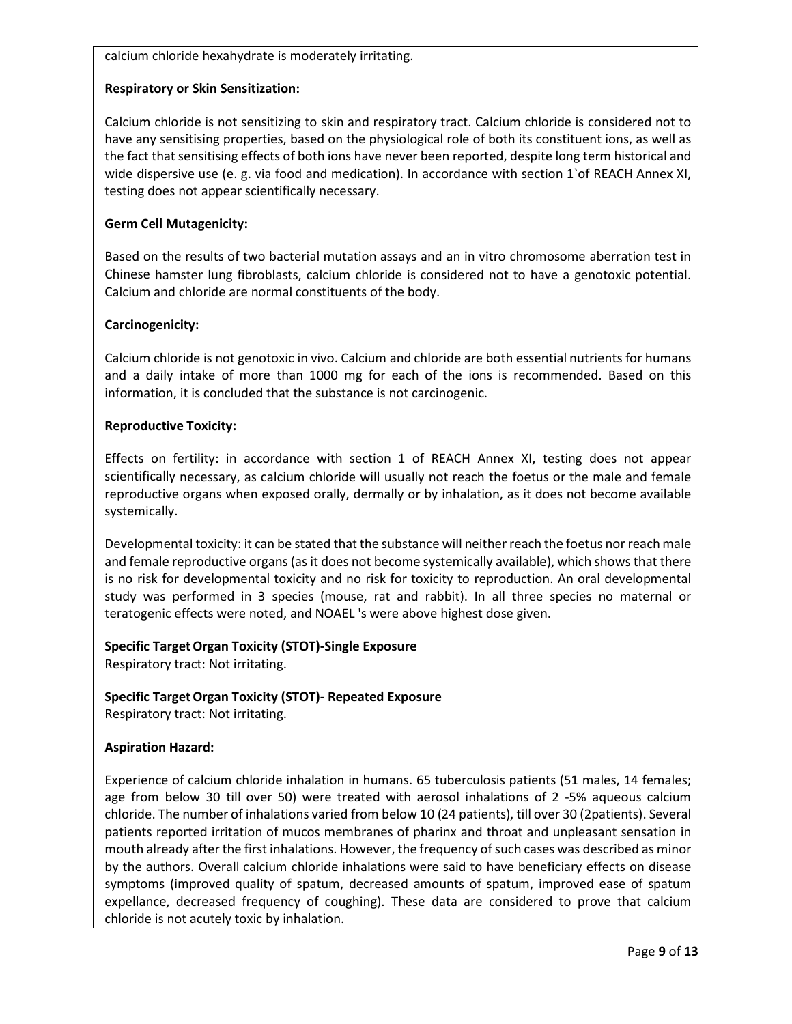calcium chloride hexahydrate is moderately irritating.

# **Respiratory or Skin Sensitization:**

Calcium chloride is not sensitizing to skin and respiratory tract. Calcium chloride is considered not to have any sensitising properties, based on the physiological role of both its constituent ions, as well as the fact that sensitising effects of both ions have never been reported, despite long term historical and wide dispersive use (e. g. via food and medication). In accordance with section 1`of REACH Annex XI, testing does not appear scientifically necessary.

# **Germ Cell Mutagenicity:**

Based on the results of two bacterial mutation assays and an in vitro chromosome aberration test in Chinese hamster lung fibroblasts, calcium chloride is considered not to have a genotoxic potential. Calcium and chloride are normal constituents of the body.

# **Carcinogenicity:**

Calcium chloride is not genotoxic in vivo. Calcium and chloride are both essential nutrients for humans and a daily intake of more than 1000 mg for each of the ions is recommended. Based on this information, it is concluded that the substance is not carcinogenic.

# **Reproductive Toxicity:**

Effects on fertility: in accordance with section 1 of REACH Annex XI, testing does not appear scientifically necessary, as calcium chloride will usually not reach the foetus or the male and female reproductive organs when exposed orally, dermally or by inhalation, as it does not become available systemically.

Developmental toxicity: it can be stated that the substance will neither reach the foetus nor reach male and female reproductive organs (as it does not become systemically available), which shows that there is no risk for developmental toxicity and no risk for toxicity to reproduction. An oral developmental study was performed in 3 species (mouse, rat and rabbit). In all three species no maternal or teratogenic effects were noted, and NOAEL 's were above highest dose given.

# **Specific TargetOrgan Toxicity (STOT)-Single Exposure**

Respiratory tract: Not irritating.

# **Specific TargetOrgan Toxicity (STOT)- Repeated Exposure**

Respiratory tract: Not irritating.

# **Aspiration Hazard:**

Experience of calcium chloride inhalation in humans. 65 tuberculosis patients (51 males, 14 females; age from below 30 till over 50) were treated with aerosol inhalations of 2 -5% aqueous calcium chloride. The number of inhalations varied from below 10 (24 patients), till over 30 (2patients). Several patients reported irritation of mucos membranes of pharinx and throat and unpleasant sensation in mouth already after the first inhalations. However, the frequency of such cases was described as minor by the authors. Overall calcium chloride inhalations were said to have beneficiary effects on disease symptoms (improved quality of spatum, decreased amounts of spatum, improved ease of spatum expellance, decreased frequency of coughing). These data are considered to prove that calcium chloride is not acutely toxic by inhalation.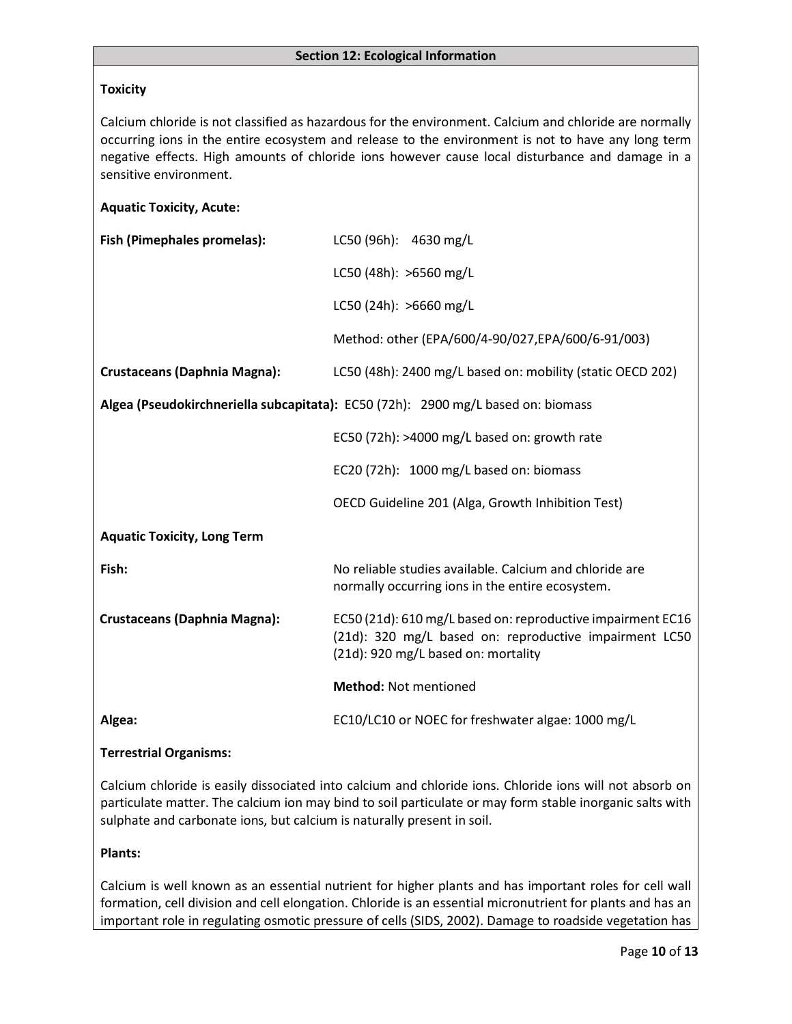# **Toxicity**

Calcium chloride is not classified as hazardous for the environment. Calcium and chloride are normally occurring ions in the entire ecosystem and release to the environment is not to have any long term negative effects. High amounts of chloride ions however cause local disturbance and damage in a sensitive environment.

## **Aquatic Toxicity, Acute:**

| Fish (Pimephales promelas):         | LC50 (96h): 4630 mg/L                                                                                                                                        |
|-------------------------------------|--------------------------------------------------------------------------------------------------------------------------------------------------------------|
|                                     | LC50 (48h): >6560 mg/L                                                                                                                                       |
|                                     | LC50 (24h): >6660 mg/L                                                                                                                                       |
|                                     | Method: other (EPA/600/4-90/027,EPA/600/6-91/003)                                                                                                            |
| <b>Crustaceans (Daphnia Magna):</b> | LC50 (48h): 2400 mg/L based on: mobility (static OECD 202)                                                                                                   |
|                                     | Algea (Pseudokirchneriella subcapitata): EC50 (72h): 2900 mg/L based on: biomass                                                                             |
|                                     | EC50 (72h): >4000 mg/L based on: growth rate                                                                                                                 |
|                                     | EC20 (72h): 1000 mg/L based on: biomass                                                                                                                      |
|                                     | OECD Guideline 201 (Alga, Growth Inhibition Test)                                                                                                            |
| <b>Aquatic Toxicity, Long Term</b>  |                                                                                                                                                              |
| Fish:                               | No reliable studies available. Calcium and chloride are<br>normally occurring ions in the entire ecosystem.                                                  |
| <b>Crustaceans (Daphnia Magna):</b> | EC50 (21d): 610 mg/L based on: reproductive impairment EC16<br>(21d): 320 mg/L based on: reproductive impairment LC50<br>(21d): 920 mg/L based on: mortality |
|                                     | <b>Method: Not mentioned</b>                                                                                                                                 |
| Algea:                              | EC10/LC10 or NOEC for freshwater algae: 1000 mg/L                                                                                                            |
|                                     |                                                                                                                                                              |

#### **Terrestrial Organisms:**

Calcium chloride is easily dissociated into calcium and chloride ions. Chloride ions will not absorb on particulate matter. The calcium ion may bind to soil particulate or may form stable inorganic salts with sulphate and carbonate ions, but calcium is naturally present in soil.

#### **Plants:**

Calcium is well known as an essential nutrient for higher plants and has important roles for cell wall formation, cell division and cell elongation. Chloride is an essential micronutrient for plants and has an important role in regulating osmotic pressure of cells (SIDS, 2002). Damage to roadside vegetation has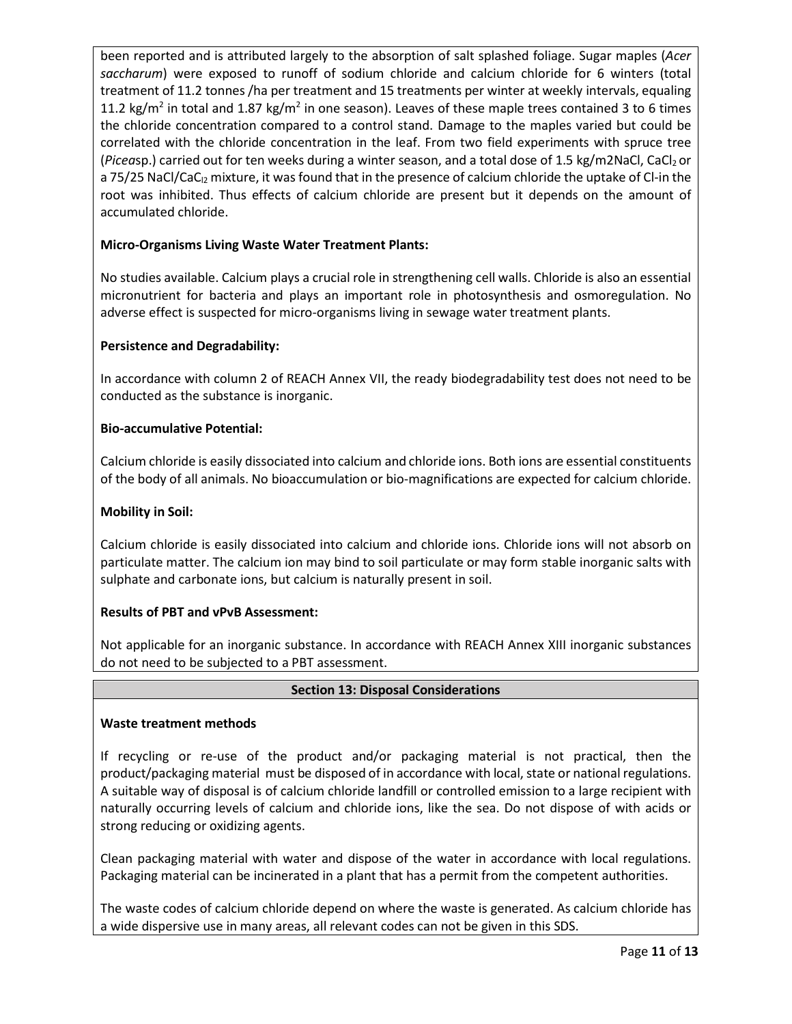been reported and is attributed largely to the absorption of salt splashed foliage. Sugar maples (*Acer saccharum*) were exposed to runoff of sodium chloride and calcium chloride for 6 winters (total treatment of 11.2 tonnes /ha per treatment and 15 treatments per winter at weekly intervals, equaling 11.2 kg/m<sup>2</sup> in total and 1.87 kg/m<sup>2</sup> in one season). Leaves of these maple trees contained 3 to 6 times the chloride concentration compared to a control stand. Damage to the maples varied but could be correlated with the chloride concentration in the leaf. From two field experiments with spruce tree (*Picea*sp.) carried out for ten weeks during a winter season, and a total dose of 1.5 kg/m2NaCl, CaCl<sub>2</sub> or a 75/25 NaCl/CaC<sub>12</sub> mixture, it was found that in the presence of calcium chloride the uptake of Cl-in the root was inhibited. Thus effects of calcium chloride are present but it depends on the amount of accumulated chloride.

# **Micro-Organisms Living Waste Water Treatment Plants:**

No studies available. Calcium plays a crucial role in strengthening cell walls. Chloride is also an essential micronutrient for bacteria and plays an important role in photosynthesis and osmoregulation. No adverse effect is suspected for micro-organisms living in sewage water treatment plants.

# **Persistence and Degradability:**

In accordance with column 2 of REACH Annex VII, the ready biodegradability test does not need to be conducted as the substance is inorganic.

# **Bio-accumulative Potential:**

Calcium chloride is easily dissociated into calcium and chloride ions. Both ions are essential constituents of the body of all animals. No bioaccumulation or bio-magnifications are expected for calcium chloride.

# **Mobility in Soil:**

Calcium chloride is easily dissociated into calcium and chloride ions. Chloride ions will not absorb on particulate matter. The calcium ion may bind to soil particulate or may form stable inorganic salts with sulphate and carbonate ions, but calcium is naturally present in soil.

# **Results of PBT and vPvB Assessment:**

Not applicable for an inorganic substance. In accordance with REACH Annex XIII inorganic substances do not need to be subjected to a PBT assessment.

# **Section 13: Disposal Considerations**

#### **Waste treatment methods**

If recycling or re-use of the product and/or packaging material is not practical, then the product/packaging material must be disposed of in accordance with local, state or national regulations. A suitable way of disposal is of calcium chloride landfill or controlled emission to a large recipient with naturally occurring levels of calcium and chloride ions, like the sea. Do not dispose of with acids or strong reducing or oxidizing agents.

Clean packaging material with water and dispose of the water in accordance with local regulations. Packaging material can be incinerated in a plant that has a permit from the competent authorities.

The waste codes of calcium chloride depend on where the waste is generated. As calcium chloride has a wide dispersive use in many areas, all relevant codes can not be given in this SDS.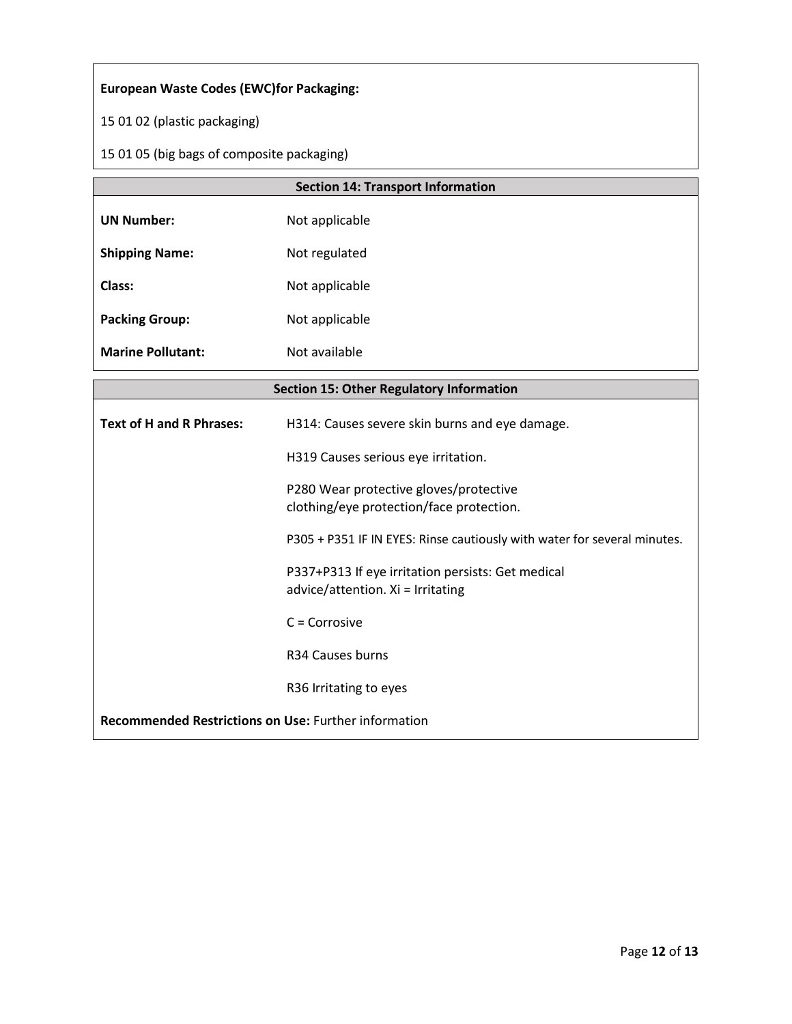# **European Waste Codes (EWC)for Packaging:**

15 01 02 (plastic packaging)

15 01 05 (big bags of composite packaging)

|                          | <b>Section 14: Transport Information</b> |
|--------------------------|------------------------------------------|
| <b>UN Number:</b>        | Not applicable                           |
| <b>Shipping Name:</b>    | Not regulated                            |
| Class:                   | Not applicable                           |
| <b>Packing Group:</b>    | Not applicable                           |
| <b>Marine Pollutant:</b> | Not available                            |

|                                                             | <b>Section 15: Other Regulatory Information</b>                                        |
|-------------------------------------------------------------|----------------------------------------------------------------------------------------|
| <b>Text of H and R Phrases:</b>                             | H314: Causes severe skin burns and eye damage.                                         |
|                                                             | H319 Causes serious eye irritation.                                                    |
|                                                             | P280 Wear protective gloves/protective<br>clothing/eye protection/face protection.     |
|                                                             | P305 + P351 IF IN EYES: Rinse cautiously with water for several minutes.               |
|                                                             | P337+P313 If eye irritation persists: Get medical<br>advice/attention. Xi = Irritating |
|                                                             | $C = Corrosive$                                                                        |
|                                                             | R34 Causes burns                                                                       |
|                                                             | R36 Irritating to eyes                                                                 |
| <b>Recommended Restrictions on Use: Further information</b> |                                                                                        |